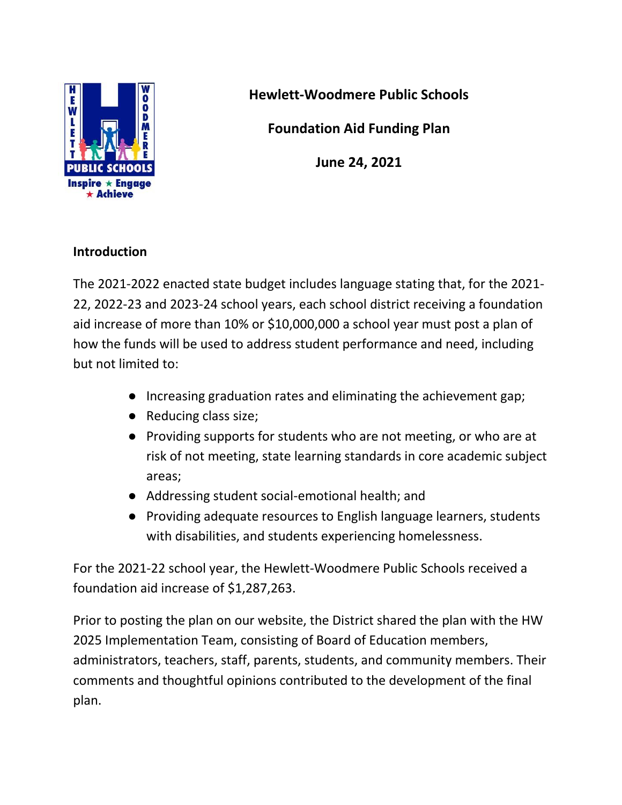

**Hewlett-Woodmere Public Schools**

**Foundation Aid Funding Plan**

**June 24, 2021**

### **Introduction**

The 2021-2022 enacted state budget includes language stating that, for the 2021- 22, 2022-23 and 2023-24 school years, each school district receiving a foundation aid increase of more than 10% or \$10,000,000 a school year must post a plan of how the funds will be used to address student performance and need, including but not limited to:

- Increasing graduation rates and eliminating the achievement gap;
- Reducing class size;
- Providing supports for students who are not meeting, or who are at risk of not meeting, state learning standards in core academic subject areas;
- Addressing student social-emotional health; and
- Providing adequate resources to English language learners, students with disabilities, and students experiencing homelessness.

For the 2021-22 school year, the Hewlett-Woodmere Public Schools received a foundation aid increase of \$1,287,263.

Prior to posting the plan on our website, the District shared the plan with the HW 2025 Implementation Team, consisting of Board of Education members, administrators, teachers, staff, parents, students, and community members. Their comments and thoughtful opinions contributed to the development of the final plan.